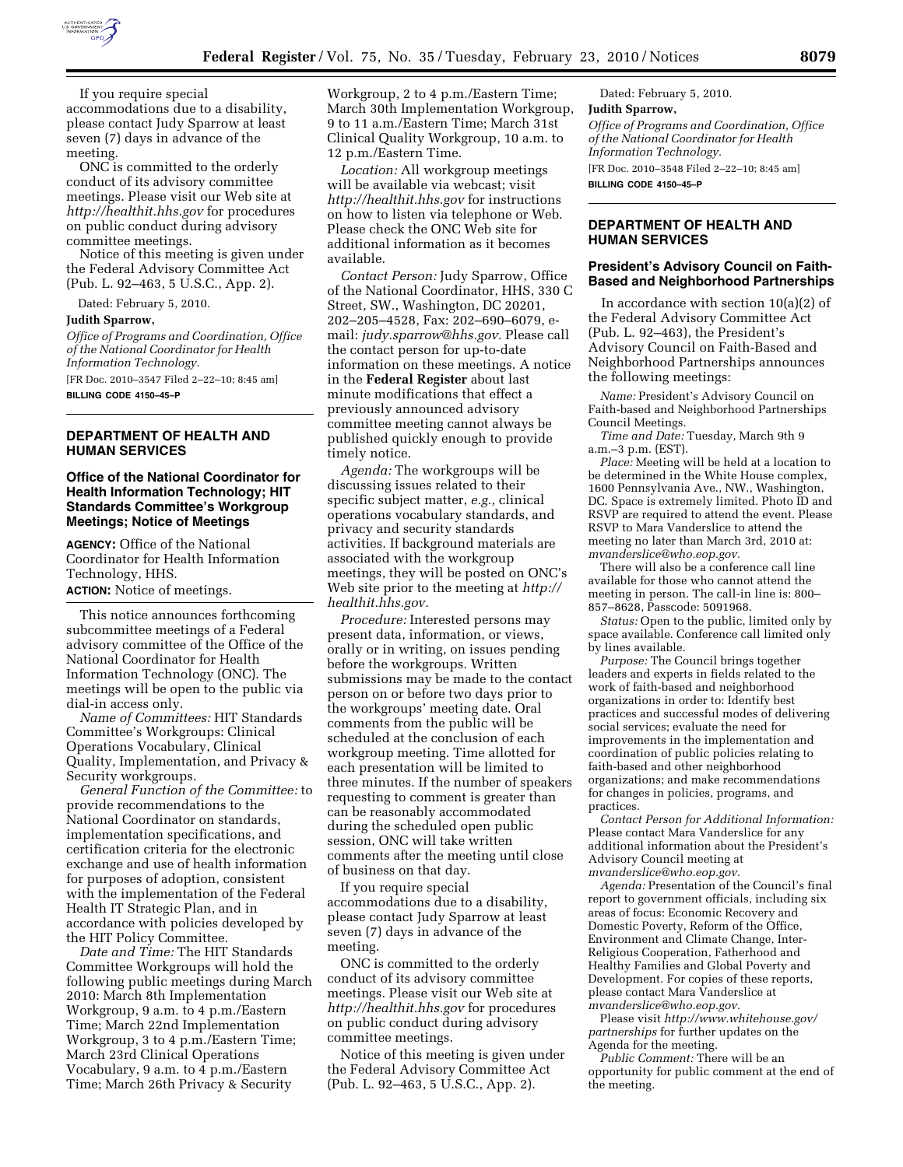

If you require special accommodations due to a disability, please contact Judy Sparrow at least seven (7) days in advance of the meeting.

ONC is committed to the orderly conduct of its advisory committee meetings. Please visit our Web site at *http://healthit.hhs.gov* for procedures on public conduct during advisory committee meetings.

Notice of this meeting is given under the Federal Advisory Committee Act (Pub. L. 92–463, 5 U.S.C., App. 2).

Dated: February 5, 2010.

#### **Judith Sparrow,**

*Office of Programs and Coordination, Office of the National Coordinator for Health Information Technology.*  [FR Doc. 2010–3547 Filed 2–22–10; 8:45 am]

**BILLING CODE 4150–45–P** 

### **DEPARTMENT OF HEALTH AND HUMAN SERVICES**

### **Office of the National Coordinator for Health Information Technology; HIT Standards Committee's Workgroup Meetings; Notice of Meetings**

**AGENCY:** Office of the National Coordinator for Health Information Technology, HHS. **ACTION:** Notice of meetings.

This notice announces forthcoming subcommittee meetings of a Federal advisory committee of the Office of the National Coordinator for Health Information Technology (ONC). The meetings will be open to the public via dial-in access only.

*Name of Committees:* HIT Standards Committee's Workgroups: Clinical Operations Vocabulary, Clinical Quality, Implementation, and Privacy & Security workgroups.

*General Function of the Committee:* to provide recommendations to the National Coordinator on standards, implementation specifications, and certification criteria for the electronic exchange and use of health information for purposes of adoption, consistent with the implementation of the Federal Health IT Strategic Plan, and in accordance with policies developed by the HIT Policy Committee.

*Date and Time:* The HIT Standards Committee Workgroups will hold the following public meetings during March 2010: March 8th Implementation Workgroup, 9 a.m. to 4 p.m./Eastern Time; March 22nd Implementation Workgroup, 3 to 4 p.m./Eastern Time; March 23rd Clinical Operations Vocabulary, 9 a.m. to 4 p.m./Eastern Time; March 26th Privacy & Security

Workgroup, 2 to 4 p.m./Eastern Time; March 30th Implementation Workgroup, 9 to 11 a.m./Eastern Time; March 31st Clinical Quality Workgroup, 10 a.m. to 12 p.m./Eastern Time.

*Location:* All workgroup meetings will be available via webcast; visit *http://healthit.hhs.gov* for instructions on how to listen via telephone or Web. Please check the ONC Web site for additional information as it becomes available.

*Contact Person:* Judy Sparrow, Office of the National Coordinator, HHS, 330 C Street, SW., Washington, DC 20201, 202–205–4528, Fax: 202–690–6079, email: *judy.sparrow@hhs.gov.* Please call the contact person for up-to-date information on these meetings. A notice in the **Federal Register** about last minute modifications that effect a previously announced advisory committee meeting cannot always be published quickly enough to provide timely notice.

*Agenda:* The workgroups will be discussing issues related to their specific subject matter, *e.g.,* clinical operations vocabulary standards, and privacy and security standards activities. If background materials are associated with the workgroup meetings, they will be posted on ONC's Web site prior to the meeting at *http:// healthit.hhs.gov.* 

*Procedure:* Interested persons may present data, information, or views, orally or in writing, on issues pending before the workgroups. Written submissions may be made to the contact person on or before two days prior to the workgroups' meeting date. Oral comments from the public will be scheduled at the conclusion of each workgroup meeting. Time allotted for each presentation will be limited to three minutes. If the number of speakers requesting to comment is greater than can be reasonably accommodated during the scheduled open public session, ONC will take written comments after the meeting until close of business on that day.

If you require special accommodations due to a disability, please contact Judy Sparrow at least seven (7) days in advance of the meeting.

ONC is committed to the orderly conduct of its advisory committee meetings. Please visit our Web site at *http://healthit.hhs.gov* for procedures on public conduct during advisory committee meetings.

Notice of this meeting is given under the Federal Advisory Committee Act (Pub. L. 92–463, 5 U.S.C., App. 2).

Dated: February 5, 2010. **Judith Sparrow,**  *Office of Programs and Coordination, Office of the National Coordinator for Health Information Technology.*  [FR Doc. 2010–3548 Filed 2–22–10; 8:45 am] **BILLING CODE 4150–45–P** 

## **DEPARTMENT OF HEALTH AND HUMAN SERVICES**

### **President's Advisory Council on Faith-Based and Neighborhood Partnerships**

In accordance with section 10(a)(2) of the Federal Advisory Committee Act (Pub. L. 92–463), the President's Advisory Council on Faith-Based and Neighborhood Partnerships announces the following meetings:

*Name:* President's Advisory Council on Faith-based and Neighborhood Partnerships Council Meetings.

*Time and Date:* Tuesday, March 9th 9 a.m.–3 p.m. (EST).

*Place:* Meeting will be held at a location to be determined in the White House complex, 1600 Pennsylvania Ave., NW., Washington, DC. Space is extremely limited. Photo ID and RSVP are required to attend the event. Please RSVP to Mara Vanderslice to attend the meeting no later than March 3rd, 2010 at: *mvanderslice@who.eop.gov.* 

There will also be a conference call line available for those who cannot attend the meeting in person. The call-in line is: 800– 857–8628, Passcode: 5091968.

*Status:* Open to the public, limited only by space available. Conference call limited only by lines available.

*Purpose:* The Council brings together leaders and experts in fields related to the work of faith-based and neighborhood organizations in order to: Identify best practices and successful modes of delivering social services; evaluate the need for improvements in the implementation and coordination of public policies relating to faith-based and other neighborhood organizations; and make recommendations for changes in policies, programs, and practices.

*Contact Person for Additional Information:*  Please contact Mara Vanderslice for any additional information about the President's Advisory Council meeting at *mvanderslice@who.eop.gov.* 

*Agenda:* Presentation of the Council's final report to government officials, including six areas of focus: Economic Recovery and Domestic Poverty, Reform of the Office, Environment and Climate Change, Inter-Religious Cooperation, Fatherhood and Healthy Families and Global Poverty and Development. For copies of these reports, please contact Mara Vanderslice at *mvanderslice@who.eop.gov.* 

Please visit *http://www.whitehouse.gov/ partnerships* for further updates on the Agenda for the meeting.

*Public Comment:* There will be an opportunity for public comment at the end of the meeting.